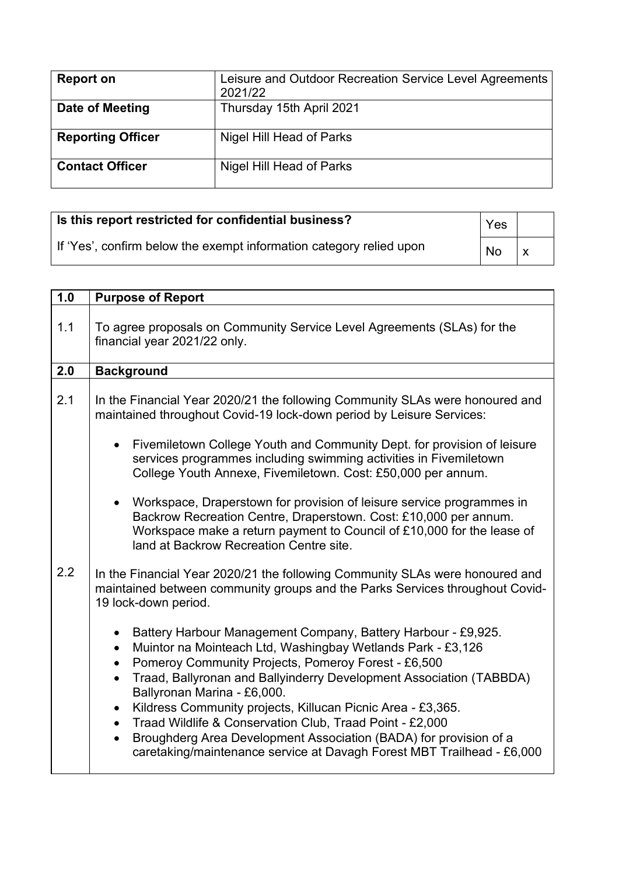| <b>Report on</b>         | Leisure and Outdoor Recreation Service Level Agreements<br>2021/22 |
|--------------------------|--------------------------------------------------------------------|
| Date of Meeting          | Thursday 15th April 2021                                           |
| <b>Reporting Officer</b> | Nigel Hill Head of Parks                                           |
| <b>Contact Officer</b>   | Nigel Hill Head of Parks                                           |

| Is this report restricted for confidential business?                |           |  |
|---------------------------------------------------------------------|-----------|--|
| If 'Yes', confirm below the exempt information category relied upon | <b>No</b> |  |

| 1.0 | <b>Purpose of Report</b>                                                                                                                                                                                                                                                                                                                                                                                                                                                                                                                                            |
|-----|---------------------------------------------------------------------------------------------------------------------------------------------------------------------------------------------------------------------------------------------------------------------------------------------------------------------------------------------------------------------------------------------------------------------------------------------------------------------------------------------------------------------------------------------------------------------|
| 1.1 | To agree proposals on Community Service Level Agreements (SLAs) for the<br>financial year 2021/22 only.                                                                                                                                                                                                                                                                                                                                                                                                                                                             |
| 2.0 | <b>Background</b>                                                                                                                                                                                                                                                                                                                                                                                                                                                                                                                                                   |
| 2.1 | In the Financial Year 2020/21 the following Community SLAs were honoured and<br>maintained throughout Covid-19 lock-down period by Leisure Services:                                                                                                                                                                                                                                                                                                                                                                                                                |
|     | Fivemiletown College Youth and Community Dept. for provision of leisure<br>services programmes including swimming activities in Fivemiletown<br>College Youth Annexe, Fivemiletown. Cost: £50,000 per annum.                                                                                                                                                                                                                                                                                                                                                        |
|     | Workspace, Draperstown for provision of leisure service programmes in<br>Backrow Recreation Centre, Draperstown. Cost: £10,000 per annum.<br>Workspace make a return payment to Council of £10,000 for the lease of<br>land at Backrow Recreation Centre site.                                                                                                                                                                                                                                                                                                      |
| 2.2 | In the Financial Year 2020/21 the following Community SLAs were honoured and<br>maintained between community groups and the Parks Services throughout Covid-<br>19 lock-down period.                                                                                                                                                                                                                                                                                                                                                                                |
|     | Battery Harbour Management Company, Battery Harbour - £9,925.<br>Muintor na Mointeach Ltd, Washingbay Wetlands Park - £3,126<br>Pomeroy Community Projects, Pomeroy Forest - £6,500<br>Traad, Ballyronan and Ballyinderry Development Association (TABBDA)<br>Ballyronan Marina - £6,000.<br>Kildress Community projects, Killucan Picnic Area - £3,365.<br>Traad Wildlife & Conservation Club, Traad Point - £2,000<br>Broughderg Area Development Association (BADA) for provision of a<br>caretaking/maintenance service at Davagh Forest MBT Trailhead - £6,000 |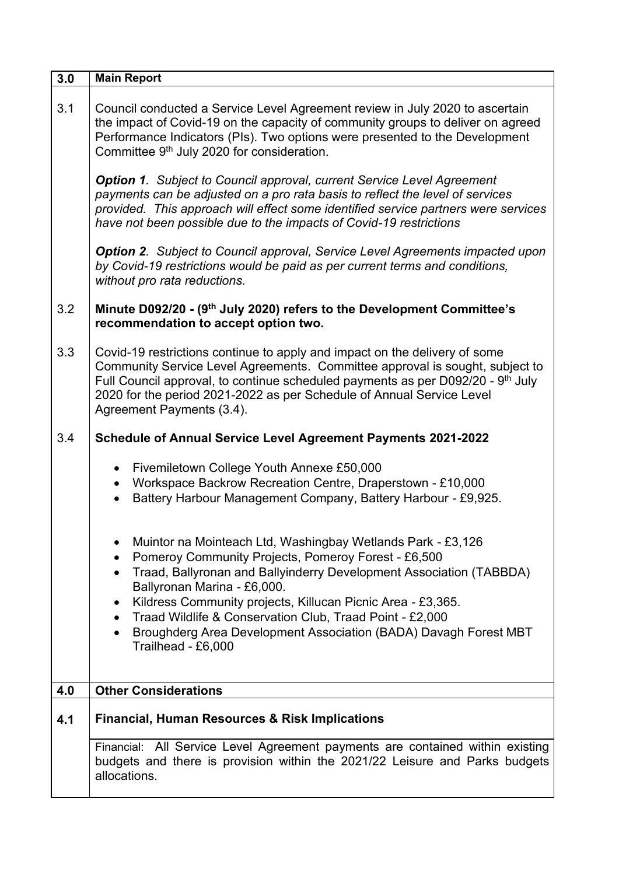| 3.0 | <b>Main Report</b>                                                                                                                                                                                                                                                                                                                                                                                                                                         |
|-----|------------------------------------------------------------------------------------------------------------------------------------------------------------------------------------------------------------------------------------------------------------------------------------------------------------------------------------------------------------------------------------------------------------------------------------------------------------|
| 3.1 | Council conducted a Service Level Agreement review in July 2020 to ascertain<br>the impact of Covid-19 on the capacity of community groups to deliver on agreed<br>Performance Indicators (PIs). Two options were presented to the Development<br>Committee 9 <sup>th</sup> July 2020 for consideration.                                                                                                                                                   |
|     | <b>Option 1.</b> Subject to Council approval, current Service Level Agreement<br>payments can be adjusted on a pro rata basis to reflect the level of services<br>provided. This approach will effect some identified service partners were services<br>have not been possible due to the impacts of Covid-19 restrictions                                                                                                                                 |
|     | <b>Option 2.</b> Subject to Council approval, Service Level Agreements impacted upon<br>by Covid-19 restrictions would be paid as per current terms and conditions,<br>without pro rata reductions.                                                                                                                                                                                                                                                        |
| 3.2 | Minute D092/20 - (9th July 2020) refers to the Development Committee's<br>recommendation to accept option two.                                                                                                                                                                                                                                                                                                                                             |
| 3.3 | Covid-19 restrictions continue to apply and impact on the delivery of some<br>Community Service Level Agreements. Committee approval is sought, subject to<br>Full Council approval, to continue scheduled payments as per D092/20 - 9 <sup>th</sup> July<br>2020 for the period 2021-2022 as per Schedule of Annual Service Level<br>Agreement Payments (3.4).                                                                                            |
| 3.4 | <b>Schedule of Annual Service Level Agreement Payments 2021-2022</b>                                                                                                                                                                                                                                                                                                                                                                                       |
|     | Fivemiletown College Youth Annexe £50,000<br>$\bullet$<br>Workspace Backrow Recreation Centre, Draperstown - £10,000<br>Battery Harbour Management Company, Battery Harbour - £9,925.                                                                                                                                                                                                                                                                      |
|     | Muintor na Mointeach Ltd, Washingbay Wetlands Park - £3,126<br>Pomeroy Community Projects, Pomeroy Forest - £6,500<br>Traad, Ballyronan and Ballyinderry Development Association (TABBDA)<br>Ballyronan Marina - £6,000.<br>Kildress Community projects, Killucan Picnic Area - £3,365.<br>$\bullet$<br>Traad Wildlife & Conservation Club, Traad Point - £2,000<br>Broughderg Area Development Association (BADA) Davagh Forest MBT<br>Trailhead - £6,000 |
| 4.0 | <b>Other Considerations</b>                                                                                                                                                                                                                                                                                                                                                                                                                                |
| 4.1 | <b>Financial, Human Resources &amp; Risk Implications</b>                                                                                                                                                                                                                                                                                                                                                                                                  |
|     | Financial: All Service Level Agreement payments are contained within existing<br>budgets and there is provision within the 2021/22 Leisure and Parks budgets<br>allocations.                                                                                                                                                                                                                                                                               |